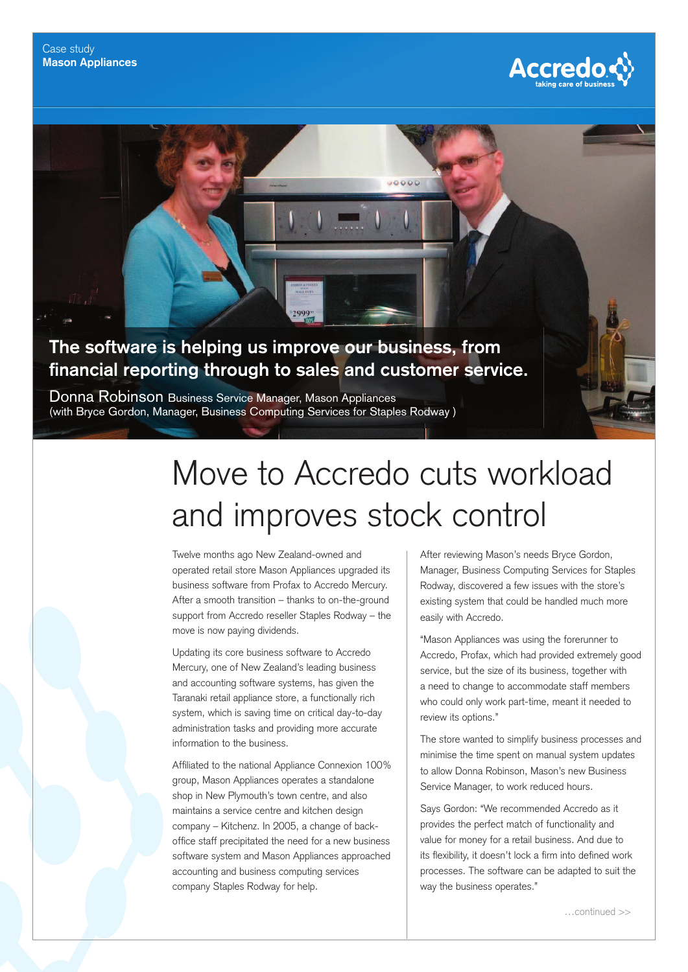

## **The software is helping us improve our business, from**  financial reporting through to sales and customer service.

Donna Robinson Business Service Manager, Mason Appliances (with Bryce Gordon, Manager, Business Computing Services for Staples Rodway )

## Move to Accredo cuts workload and improves stock control

 $10000$ 

Twelve months ago New Zealand-owned and operated retail store Mason Appliances upgraded its business software from Profax to Accredo Mercury. After a smooth transition – thanks to on-the-ground support from Accredo reseller Staples Rodway – the move is now paying dividends.

Updating its core business software to Accredo Mercury, one of New Zealand's leading business and accounting software systems, has given the Taranaki retail appliance store, a functionally rich system, which is saving time on critical day-to-day administration tasks and providing more accurate information to the business.

Affiliated to the national Appliance Connexion 100% group, Mason Appliances operates a standalone shop in New Plymouth's town centre, and also maintains a service centre and kitchen design company – Kitchenz. In 2005, a change of backoffice staff precipitated the need for a new business software system and Mason Appliances approached accounting and business computing services company Staples Rodway for help.

After reviewing Mason's needs Bryce Gordon, Manager, Business Computing Services for Staples Rodway, discovered a few issues with the store's existing system that could be handled much more easily with Accredo.

"Mason Appliances was using the forerunner to Accredo, Profax, which had provided extremely good service, but the size of its business, together with a need to change to accommodate staff members who could only work part-time, meant it needed to review its options."

The store wanted to simplify business processes and minimise the time spent on manual system updates to allow Donna Robinson, Mason's new Business Service Manager, to work reduced hours.

Says Gordon: "We recommended Accredo as it provides the perfect match of functionality and value for money for a retail business. And due to its flexibility, it doesn't lock a firm into defined work processes. The software can be adapted to suit the way the business operates."